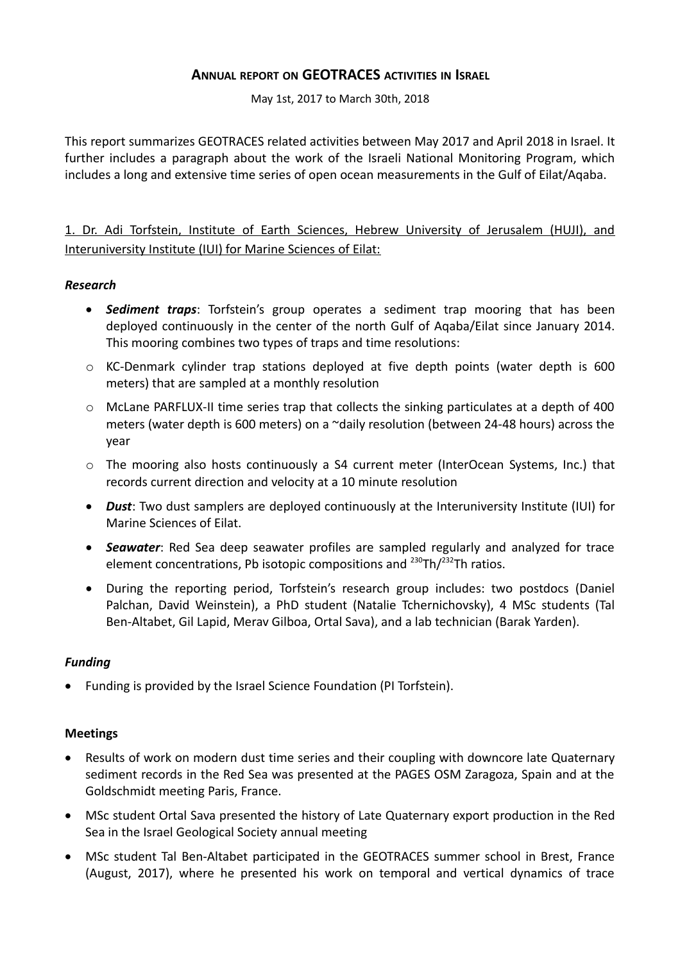# **ANNUAL REPORT ON GEOTRACES ACTIVITIES IN ISRAEL**

May 1st, 2017 to March 30th, 2018

This report summarizes GEOTRACES related activities between May 2017 and April 2018 in Israel. It further includes a paragraph about the work of the Israeli National Monitoring Program, which includes a long and extensive time series of open ocean measurements in the Gulf of Eilat/Aqaba.

1. Dr. Adi Torfstein, Institute of Earth Sciences, Hebrew University of Jerusalem (HUJI), and Interuniversity Institute (IUI) for Marine Sciences of Eilat:

#### *Research*

- *Sediment traps*: Torfstein's group operates a sediment trap mooring that has been deployed continuously in the center of the north Gulf of Aqaba/Eilat since January 2014. This mooring combines two types of traps and time resolutions:
- o KC-Denmark cylinder trap stations deployed at five depth points (water depth is 600 meters) that are sampled at a monthly resolution
- $\circ$  McLane PARFLUX-II time series trap that collects the sinking particulates at a depth of 400 meters (water depth is 600 meters) on a ~daily resolution (between 24-48 hours) across the year
- o The mooring also hosts continuously a S4 current meter (InterOcean Systems, Inc.) that records current direction and velocity at a 10 minute resolution
- *Dust*: Two dust samplers are deployed continuously at the Interuniversity Institute (IUI) for Marine Sciences of Eilat.
- *Seawater*: Red Sea deep seawater profiles are sampled regularly and analyzed for trace element concentrations, Pb isotopic compositions and  $^{230}$ Th/ $^{232}$ Th ratios.
- During the reporting period, Torfstein's research group includes: two postdocs (Daniel Palchan, David Weinstein), a PhD student (Natalie Tchernichovsky), 4 MSc students (Tal Ben-Altabet, Gil Lapid, Merav Gilboa, Ortal Sava), and a lab technician (Barak Yarden).

#### *Funding*

Funding is provided by the Israel Science Foundation (PI Torfstein).

#### **Meetings**

- Results of work on modern dust time series and their coupling with downcore late Quaternary sediment records in the Red Sea was presented at the PAGES OSM Zaragoza, Spain and at the Goldschmidt meeting Paris, France.
- MSc student Ortal Sava presented the history of Late Quaternary export production in the Red Sea in the Israel Geological Society annual meeting
- MSc student Tal Ben-Altabet participated in the GEOTRACES summer school in Brest, France (August, 2017), where he presented his work on temporal and vertical dynamics of trace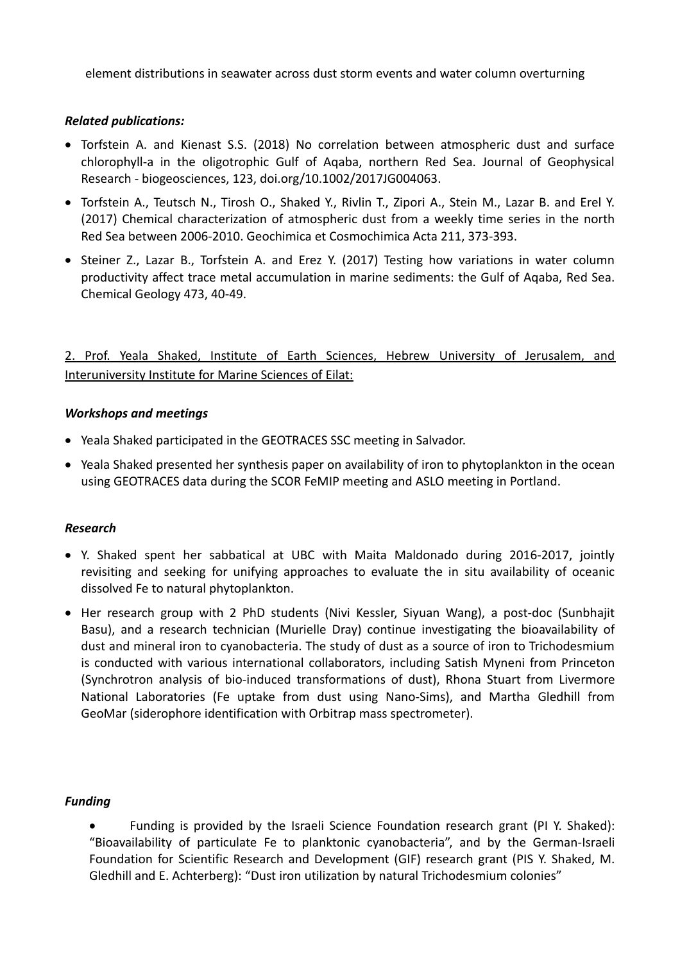element distributions in seawater across dust storm events and water column overturning

## *Related publications:*

- Torfstein A. and Kienast S.S. (2018) No correlation between atmospheric dust and surface chlorophyll-a in the oligotrophic Gulf of Aqaba, northern Red Sea. Journal of Geophysical Research - biogeosciences, 123, doi.org/10.1002/2017JG004063.
- Torfstein A., Teutsch N., Tirosh O., Shaked Y., Rivlin T., Zipori A., Stein M., Lazar B. and Erel Y. (2017) Chemical characterization of atmospheric dust from a weekly time series in the north Red Sea between 2006-2010. Geochimica et Cosmochimica Acta 211, 373-393.
- Steiner Z., Lazar B., Torfstein A. and Erez Y. (2017) Testing how variations in water column productivity affect trace metal accumulation in marine sediments: the Gulf of Aqaba, Red Sea. Chemical Geology 473, 40-49.

2. Prof. Yeala Shaked, Institute of Earth Sciences, Hebrew University of Jerusalem, and Interuniversity Institute for Marine Sciences of Eilat:

## *Workshops and meetings*

- Yeala Shaked participated in the GEOTRACES SSC meeting in Salvador.
- Yeala Shaked presented her synthesis paper on availability of iron to phytoplankton in the ocean using GEOTRACES data during the SCOR FeMIP meeting and ASLO meeting in Portland.

## *Research*

- Y. Shaked spent her sabbatical at UBC with Maita Maldonado during 2016-2017, jointly revisiting and seeking for unifying approaches to evaluate the in situ availability of oceanic dissolved Fe to natural phytoplankton.
- Her research group with 2 PhD students (Nivi Kessler, Siyuan Wang), a post-doc (Sunbhajit Basu), and a research technician (Murielle Dray) continue investigating the bioavailability of dust and mineral iron to cyanobacteria. The study of dust as a source of iron to Trichodesmium is conducted with various international collaborators, including Satish Myneni from Princeton (Synchrotron analysis of bio-induced transformations of dust), Rhona Stuart from Livermore National Laboratories (Fe uptake from dust using Nano-Sims), and Martha Gledhill from GeoMar (siderophore identification with Orbitrap mass spectrometer).

## *Funding*

 Funding is provided by the Israeli Science Foundation research grant (PI Y. Shaked): "Bioavailability of particulate Fe to planktonic cyanobacteria", and by the German-Israeli Foundation for Scientific Research and Development (GIF) research grant (PIS Y. Shaked, M. Gledhill and E. Achterberg): "Dust iron utilization by natural Trichodesmium colonies"